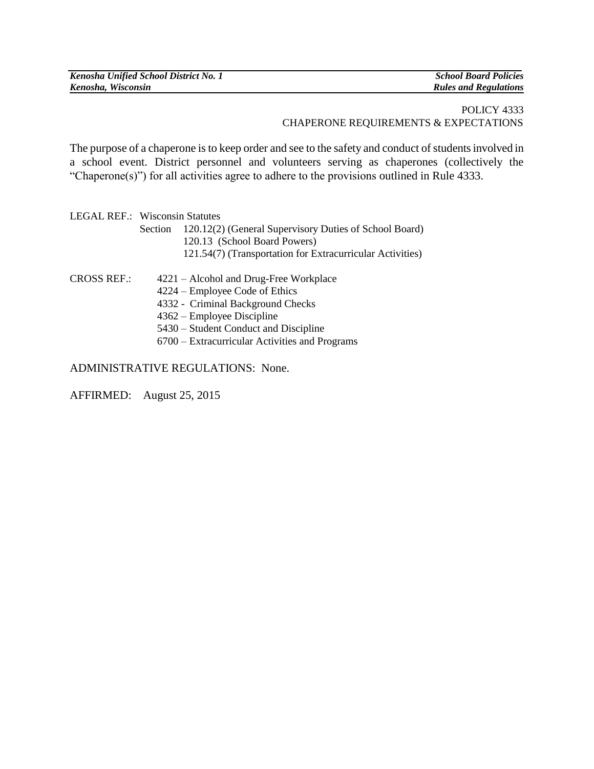| Kenosha Unified School District No. 1 | <b>School Board Policies</b> |
|---------------------------------------|------------------------------|
| Kenosha, Wisconsin                    | <b>Rules and Regulations</b> |

## POLICY 4333 CHAPERONE REQUIREMENTS & EXPECTATIONS

The purpose of a chaperone is to keep order and see to the safety and conduct of students involved in a school event. District personnel and volunteers serving as chaperones (collectively the "Chaperone(s)") for all activities agree to adhere to the provisions outlined in Rule 4333.

| LEGAL REF.: Wisconsin Statutes |                                                                |  |
|--------------------------------|----------------------------------------------------------------|--|
|                                | Section 120.12(2) (General Supervisory Duties of School Board) |  |
|                                | 120.13 (School Board Powers)                                   |  |
|                                | 121.54(7) (Transportation for Extracurricular Activities)      |  |
|                                |                                                                |  |

- CROSS REF.: 4221 Alcohol and Drug-Free Workplace
	- 4224 Employee Code of Ethics
	- 4332 Criminal Background Checks
	- 4362 Employee Discipline
	- 5430 Student Conduct and Discipline
	- 6700 Extracurricular Activities and Programs

ADMINISTRATIVE REGULATIONS: None.

AFFIRMED: August 25, 2015